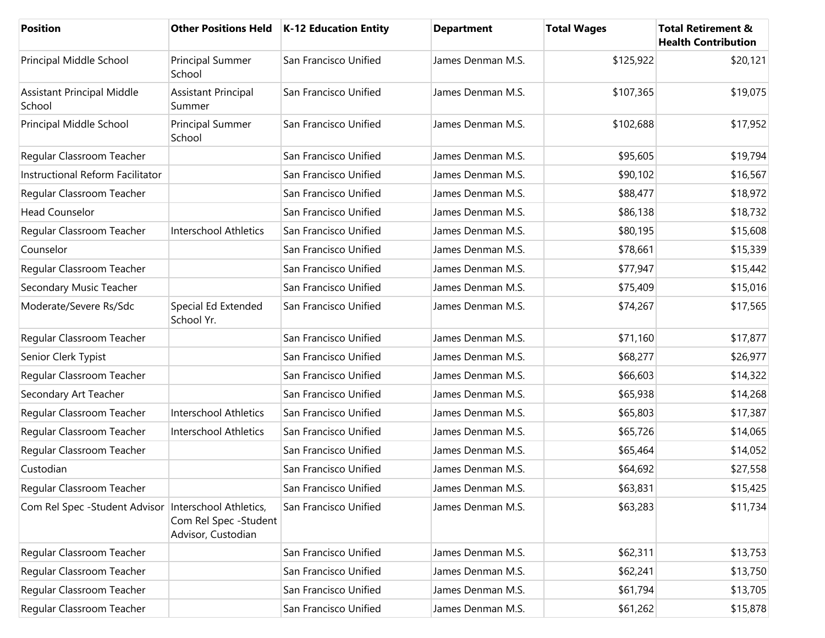| <b>Position</b>                             |                                                                        | Other Positions Held   K-12 Education Entity | <b>Department</b> | <b>Total Wages</b> | <b>Total Retirement &amp;</b><br><b>Health Contribution</b> |
|---------------------------------------------|------------------------------------------------------------------------|----------------------------------------------|-------------------|--------------------|-------------------------------------------------------------|
| Principal Middle School                     | Principal Summer<br>School                                             | San Francisco Unified                        | James Denman M.S. | \$125,922          | \$20,121                                                    |
| <b>Assistant Principal Middle</b><br>School | <b>Assistant Principal</b><br>Summer                                   | San Francisco Unified                        | James Denman M.S. | \$107,365          | \$19,075                                                    |
| Principal Middle School                     | Principal Summer<br>School                                             | San Francisco Unified                        | James Denman M.S. | \$102,688          | \$17,952                                                    |
| Regular Classroom Teacher                   |                                                                        | San Francisco Unified                        | James Denman M.S. | \$95,605           | \$19,794                                                    |
| Instructional Reform Facilitator            |                                                                        | San Francisco Unified                        | James Denman M.S. | \$90,102           | \$16,567                                                    |
| Regular Classroom Teacher                   |                                                                        | San Francisco Unified                        | James Denman M.S. | \$88,477           | \$18,972                                                    |
| <b>Head Counselor</b>                       |                                                                        | San Francisco Unified                        | James Denman M.S. | \$86,138           | \$18,732                                                    |
| Regular Classroom Teacher                   | <b>Interschool Athletics</b>                                           | San Francisco Unified                        | James Denman M.S. | \$80,195           | \$15,608                                                    |
| Counselor                                   |                                                                        | San Francisco Unified                        | James Denman M.S. | \$78,661           | \$15,339                                                    |
| Regular Classroom Teacher                   |                                                                        | San Francisco Unified                        | James Denman M.S. | \$77,947           | \$15,442                                                    |
| Secondary Music Teacher                     |                                                                        | San Francisco Unified                        | James Denman M.S. | \$75,409           | \$15,016                                                    |
| Moderate/Severe Rs/Sdc                      | Special Ed Extended<br>School Yr.                                      | San Francisco Unified                        | James Denman M.S. | \$74,267           | \$17,565                                                    |
| Regular Classroom Teacher                   |                                                                        | San Francisco Unified                        | James Denman M.S. | \$71,160           | \$17,877                                                    |
| Senior Clerk Typist                         |                                                                        | San Francisco Unified                        | James Denman M.S. | \$68,277           | \$26,977                                                    |
| Regular Classroom Teacher                   |                                                                        | San Francisco Unified                        | James Denman M.S. | \$66,603           | \$14,322                                                    |
| Secondary Art Teacher                       |                                                                        | San Francisco Unified                        | James Denman M.S. | \$65,938           | \$14,268                                                    |
| Regular Classroom Teacher                   | <b>Interschool Athletics</b>                                           | San Francisco Unified                        | James Denman M.S. | \$65,803           | \$17,387                                                    |
| Regular Classroom Teacher                   | Interschool Athletics                                                  | San Francisco Unified                        | James Denman M.S. | \$65,726           | \$14,065                                                    |
| Regular Classroom Teacher                   |                                                                        | San Francisco Unified                        | James Denman M.S. | \$65,464           | \$14,052                                                    |
| Custodian                                   |                                                                        | San Francisco Unified                        | James Denman M.S. | \$64,692           | \$27,558                                                    |
| Regular Classroom Teacher                   |                                                                        | San Francisco Unified                        | James Denman M.S. | \$63,831           | \$15,425                                                    |
| Com Rel Spec - Student Advisor              | Interschool Athletics,<br>Com Rel Spec - Student<br>Advisor, Custodian | San Francisco Unified                        | James Denman M.S. | \$63,283           | \$11,734                                                    |
| Regular Classroom Teacher                   |                                                                        | San Francisco Unified                        | James Denman M.S. | \$62,311           | \$13,753                                                    |
| Regular Classroom Teacher                   |                                                                        | San Francisco Unified                        | James Denman M.S. | \$62,241           | \$13,750                                                    |
| Regular Classroom Teacher                   |                                                                        | San Francisco Unified                        | James Denman M.S. | \$61,794           | \$13,705                                                    |
| Regular Classroom Teacher                   |                                                                        | San Francisco Unified                        | James Denman M.S. | \$61,262           | \$15,878                                                    |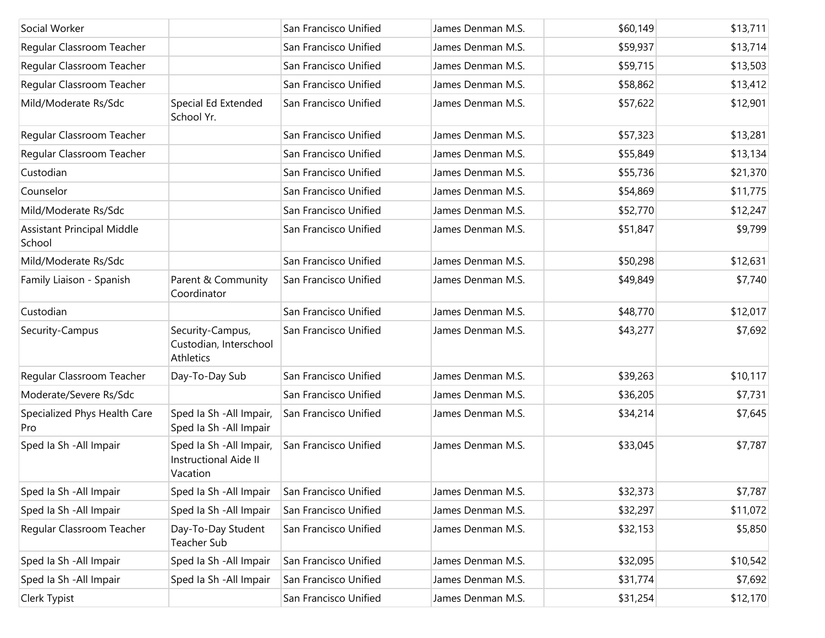| Social Worker                               |                                                               | San Francisco Unified | James Denman M.S. | \$60,149 | \$13,711 |
|---------------------------------------------|---------------------------------------------------------------|-----------------------|-------------------|----------|----------|
| Regular Classroom Teacher                   |                                                               | San Francisco Unified | James Denman M.S. | \$59,937 | \$13,714 |
| Regular Classroom Teacher                   |                                                               | San Francisco Unified | James Denman M.S. | \$59,715 | \$13,503 |
| Regular Classroom Teacher                   |                                                               | San Francisco Unified | James Denman M.S. | \$58,862 | \$13,412 |
| Mild/Moderate Rs/Sdc                        | Special Ed Extended<br>School Yr.                             | San Francisco Unified | James Denman M.S. | \$57,622 | \$12,901 |
| Regular Classroom Teacher                   |                                                               | San Francisco Unified | James Denman M.S. | \$57,323 | \$13,281 |
| Regular Classroom Teacher                   |                                                               | San Francisco Unified | James Denman M.S. | \$55,849 | \$13,134 |
| Custodian                                   |                                                               | San Francisco Unified | James Denman M.S. | \$55,736 | \$21,370 |
| Counselor                                   |                                                               | San Francisco Unified | James Denman M.S. | \$54,869 | \$11,775 |
| Mild/Moderate Rs/Sdc                        |                                                               | San Francisco Unified | James Denman M.S. | \$52,770 | \$12,247 |
| <b>Assistant Principal Middle</b><br>School |                                                               | San Francisco Unified | James Denman M.S. | \$51,847 | \$9,799  |
| Mild/Moderate Rs/Sdc                        |                                                               | San Francisco Unified | James Denman M.S. | \$50,298 | \$12,631 |
| Family Liaison - Spanish                    | Parent & Community<br>Coordinator                             | San Francisco Unified | James Denman M.S. | \$49,849 | \$7,740  |
| Custodian                                   |                                                               | San Francisco Unified | James Denman M.S. | \$48,770 | \$12,017 |
| Security-Campus                             | Security-Campus,<br>Custodian, Interschool<br>Athletics       | San Francisco Unified | James Denman M.S. | \$43,277 | \$7,692  |
| Regular Classroom Teacher                   | Day-To-Day Sub                                                | San Francisco Unified | James Denman M.S. | \$39,263 | \$10,117 |
| Moderate/Severe Rs/Sdc                      |                                                               | San Francisco Unified | James Denman M.S. | \$36,205 | \$7,731  |
| Specialized Phys Health Care<br>Pro         | Sped Ia Sh - All Impair,<br>Sped Ia Sh - All Impair           | San Francisco Unified | James Denman M.S. | \$34,214 | \$7,645  |
| Sped Ia Sh - All Impair                     | Sped Ia Sh - All Impair,<br>Instructional Aide II<br>Vacation | San Francisco Unified | James Denman M.S. | \$33,045 | \$7,787  |
| Sped la Sh - All Impair                     | Sped la Sh - All Impair                                       | San Francisco Unified | James Denman M.S. | \$32,373 | \$7,787  |
| Sped Ia Sh - All Impair                     | Sped Ia Sh - All Impair                                       | San Francisco Unified | James Denman M.S. | \$32,297 | \$11,072 |
| Regular Classroom Teacher                   | Day-To-Day Student<br>Teacher Sub                             | San Francisco Unified | James Denman M.S. | \$32,153 | \$5,850  |
| Sped Ia Sh - All Impair                     | Sped Ia Sh - All Impair                                       | San Francisco Unified | James Denman M.S. | \$32,095 | \$10,542 |
| Sped Ia Sh - All Impair                     | Sped Ia Sh - All Impair                                       | San Francisco Unified | James Denman M.S. | \$31,774 | \$7,692  |
| Clerk Typist                                |                                                               | San Francisco Unified | James Denman M.S. | \$31,254 | \$12,170 |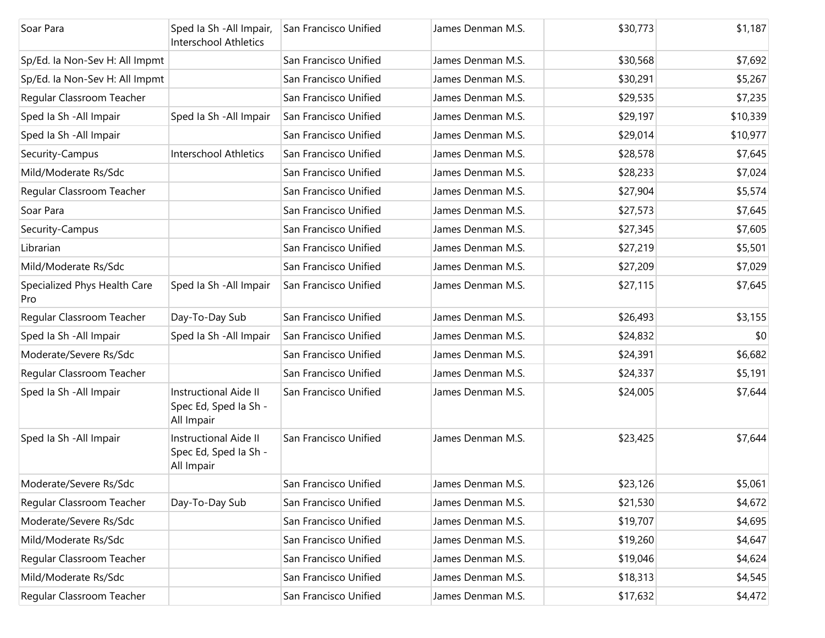| Soar Para                           | Sped Ia Sh - All Impair,<br><b>Interschool Athletics</b>            | San Francisco Unified | James Denman M.S. | \$30,773 | \$1,187  |
|-------------------------------------|---------------------------------------------------------------------|-----------------------|-------------------|----------|----------|
| Sp/Ed. Ia Non-Sev H: All Impmt      |                                                                     | San Francisco Unified | James Denman M.S. | \$30,568 | \$7,692  |
| Sp/Ed. la Non-Sev H: All Impmt      |                                                                     | San Francisco Unified | James Denman M.S. | \$30,291 | \$5,267  |
| Regular Classroom Teacher           |                                                                     | San Francisco Unified | James Denman M.S. | \$29,535 | \$7,235  |
| Sped Ia Sh - All Impair             | Sped Ia Sh - All Impair                                             | San Francisco Unified | James Denman M.S. | \$29,197 | \$10,339 |
| Sped Ia Sh - All Impair             |                                                                     | San Francisco Unified | James Denman M.S. | \$29,014 | \$10,977 |
| Security-Campus                     | <b>Interschool Athletics</b>                                        | San Francisco Unified | James Denman M.S. | \$28,578 | \$7,645  |
| Mild/Moderate Rs/Sdc                |                                                                     | San Francisco Unified | James Denman M.S. | \$28,233 | \$7,024  |
| Regular Classroom Teacher           |                                                                     | San Francisco Unified | James Denman M.S. | \$27,904 | \$5,574  |
| Soar Para                           |                                                                     | San Francisco Unified | James Denman M.S. | \$27,573 | \$7,645  |
| Security-Campus                     |                                                                     | San Francisco Unified | James Denman M.S. | \$27,345 | \$7,605  |
| Librarian                           |                                                                     | San Francisco Unified | James Denman M.S. | \$27,219 | \$5,501  |
| Mild/Moderate Rs/Sdc                |                                                                     | San Francisco Unified | James Denman M.S. | \$27,209 | \$7,029  |
| Specialized Phys Health Care<br>Pro | Sped Ia Sh - All Impair                                             | San Francisco Unified | James Denman M.S. | \$27,115 | \$7,645  |
| Regular Classroom Teacher           | Day-To-Day Sub                                                      | San Francisco Unified | James Denman M.S. | \$26,493 | \$3,155  |
| Sped Ia Sh - All Impair             | Sped Ia Sh - All Impair                                             | San Francisco Unified | James Denman M.S. | \$24,832 | \$0      |
| Moderate/Severe Rs/Sdc              |                                                                     | San Francisco Unified | James Denman M.S. | \$24,391 | \$6,682  |
| Regular Classroom Teacher           |                                                                     | San Francisco Unified | James Denman M.S. | \$24,337 | \$5,191  |
| Sped Ia Sh - All Impair             | <b>Instructional Aide II</b><br>Spec Ed, Sped Ia Sh -<br>All Impair | San Francisco Unified | James Denman M.S. | \$24,005 | \$7,644  |
| Sped Ia Sh - All Impair             | <b>Instructional Aide II</b><br>Spec Ed, Sped Ia Sh -<br>All Impair | San Francisco Unified | James Denman M.S. | \$23,425 | \$7,644  |
| Moderate/Severe Rs/Sdc              |                                                                     | San Francisco Unified | James Denman M.S. | \$23,126 | \$5,061  |
| Regular Classroom Teacher           | Day-To-Day Sub                                                      | San Francisco Unified | James Denman M.S. | \$21,530 | \$4,672  |
| Moderate/Severe Rs/Sdc              |                                                                     | San Francisco Unified | James Denman M.S. | \$19,707 | \$4,695  |
| Mild/Moderate Rs/Sdc                |                                                                     | San Francisco Unified | James Denman M.S. | \$19,260 | \$4,647  |
| Regular Classroom Teacher           |                                                                     | San Francisco Unified | James Denman M.S. | \$19,046 | \$4,624  |
| Mild/Moderate Rs/Sdc                |                                                                     | San Francisco Unified | James Denman M.S. | \$18,313 | \$4,545  |
| Regular Classroom Teacher           |                                                                     | San Francisco Unified | James Denman M.S. | \$17,632 | \$4,472  |